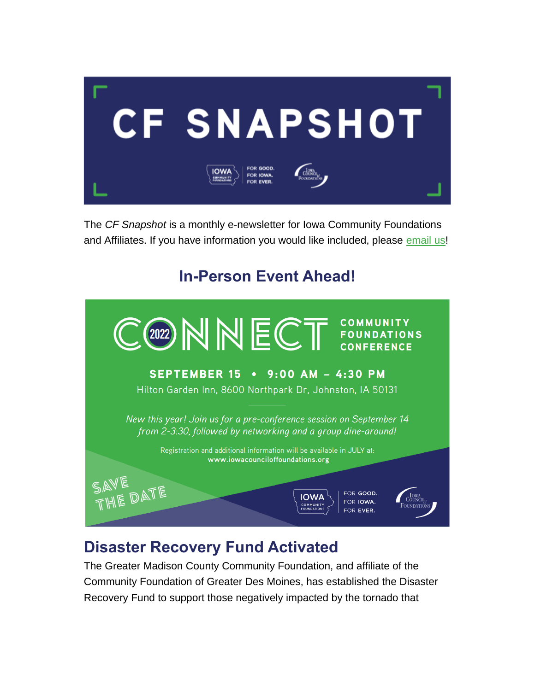

The *CF Snapshot* is a monthly e-newsletter for Iowa Community Foundations and Affiliates. If you have information you would like included, please [email](mailto:jmanders@iowacounciloffoundations.org) us!

# **In-Person Event Ahead!**



# **Disaster Recovery Fund Activated**

The Greater Madison County Community Foundation, and affiliate of the Community Foundation of Greater Des Moines, has established the Disaster Recovery Fund to support those negatively impacted by the tornado that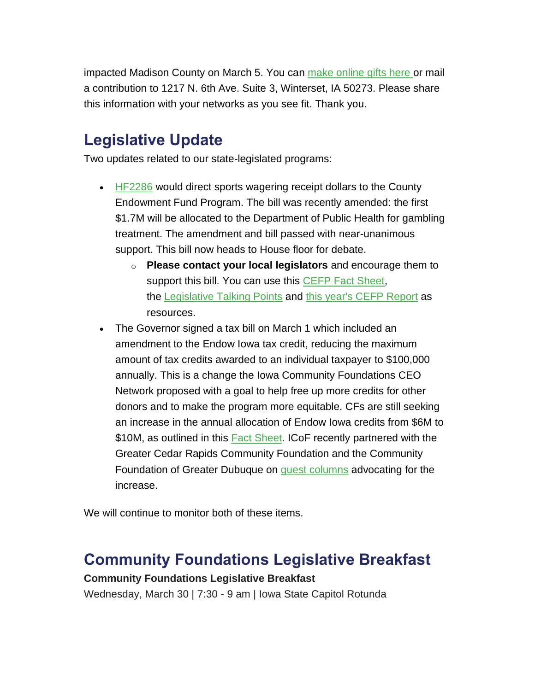impacted Madison County on March 5. You can [make online gifts here](http://www.desmoinesfoundation.org/givemadisoncounty) or mail a contribution to 1217 N. 6th Ave. Suite 3, Winterset, IA 50273. Please share this information with your networks as you see fit. Thank you.

# **Legislative Update**

Two updates related to our state-legislated programs:

- $\cdot$  [HF2286](https://www.legis.iowa.gov/legislation/BillBook?ga=89&ba=HF2286) would direct sports wagering receipt dollars to the County Endowment Fund Program. The bill was recently amended: the first \$1.7M will be allocated to the Department of Public Health for gambling treatment. The amendment and bill passed with near-unanimous support. This bill now heads to House floor for debate.
	- o **Please contact your local legislators** and encourage them to support this bill. You can use this [CEFP Fact Sheet,](https://iowacounciloffoundations.org/wp-content/uploads/2021/12/2022-County-Endowment-Fund-Program-Fact-Sheet.pdf) the [Legislative Talking Points](https://iowacounciloffoundations.org/wp-content/uploads/2022/02/2022-Legislative-Talking-Points.pdf) and [this year's CEFP Report](https://iowacounciloffoundations.org/wp-content/uploads/2022/02/2020-21_CEFP-annual-report.pdf) as resources.
- The Governor signed a tax bill on March 1 which included an amendment to the Endow Iowa tax credit, reducing the maximum amount of tax credits awarded to an individual taxpayer to \$100,000 annually. This is a change the Iowa Community Foundations CEO Network proposed with a goal to help free up more credits for other donors and to make the program more equitable. CFs are still seeking an increase in the annual allocation of Endow Iowa credits from \$6M to \$10M, as outlined in this [Fact Sheet.](https://iowacounciloffoundations.org/wp-content/uploads/2022/03/EndowIA_FactsSheet_3_07_22.pdf) ICoF recently partnered with the Greater Cedar Rapids Community Foundation and the Community Foundation of Greater Dubuque on [guest columns](https://iowacounciloffoundations.org/publications/) advocating for the increase.

We will continue to monitor both of these items.

## **Community Foundations Legislative Breakfast**

### **Community Foundations Legislative Breakfast**

Wednesday, March 30 | 7:30 - 9 am | Iowa State Capitol Rotunda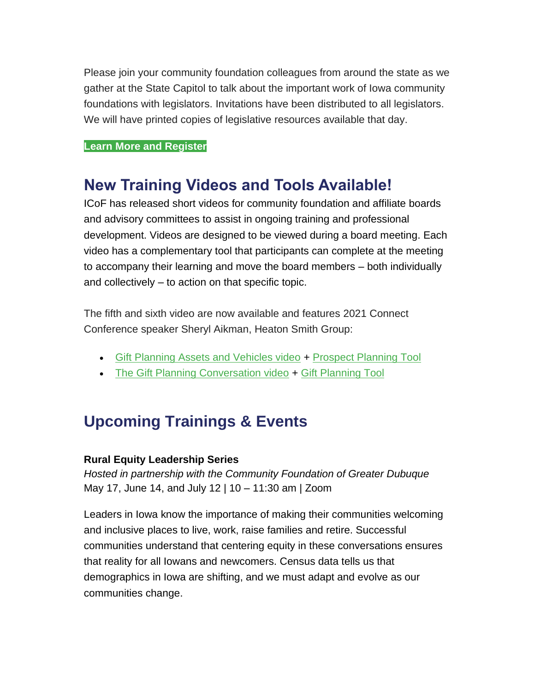Please join your community foundation colleagues from around the state as we gather at the State Capitol to talk about the important work of Iowa community foundations with legislators. Invitations have been distributed to all legislators. We will have printed copies of legislative resources available that day.

### **[Learn More and Register](https://icof.wildapricot.org/event-4683810)**

## **New Training Videos and Tools Available!**

ICoF has released short videos for community foundation and affiliate boards and advisory committees to assist in ongoing training and professional development. Videos are designed to be viewed during a board meeting. Each video has a complementary tool that participants can complete at the meeting to accompany their learning and move the board members – both individually and collectively – to action on that specific topic.

The fifth and sixth video are now available and features 2021 Connect Conference speaker Sheryl Aikman, Heaton Smith Group:

- [Gift Planning Assets and Vehicles video](https://youtu.be/LvoF4OyTwLk) + [Prospect Planning Tool](https://iowacounciloffoundations.org/wp-content/uploads/2022/02/ProspectPlanning_2020_Flyer.pdf)
- [The Gift Planning Conversation video](https://youtu.be/zjtRGw4YNGI) + [Gift Planning Tool](https://iowacounciloffoundations.org/wp-content/uploads/2022/02/GiftPlanning_2022_Flyer.pdf)

# **Upcoming Trainings & Events**

### **Rural Equity Leadership Series**

*Hosted in partnership with the Community Foundation of Greater Dubuque* May 17, June 14, and July 12 | 10 – 11:30 am | Zoom

Leaders in Iowa know the importance of making their communities welcoming and inclusive places to live, work, raise families and retire. Successful communities understand that centering equity in these conversations ensures that reality for all Iowans and newcomers. Census data tells us that demographics in Iowa are shifting, and we must adapt and evolve as our communities change.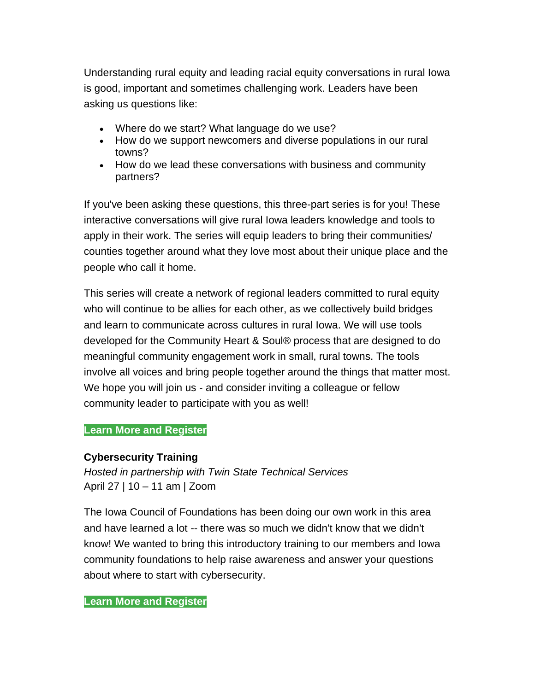Understanding rural equity and leading racial equity conversations in rural Iowa is good, important and sometimes challenging work. Leaders have been asking us questions like:

- Where do we start? What language do we use?
- How do we support newcomers and diverse populations in our rural towns?
- How do we lead these conversations with business and community partners?

If you've been asking these questions, this three-part series is for you! These interactive conversations will give rural Iowa leaders knowledge and tools to apply in their work. The series will equip leaders to bring their communities/ counties together around what they love most about their unique place and the people who call it home.

This series will create a network of regional leaders committed to rural equity who will continue to be allies for each other, as we collectively build bridges and learn to communicate across cultures in rural Iowa. We will use tools developed for the Community Heart & Soul® process that are designed to do meaningful community engagement work in small, rural towns. The tools involve all voices and bring people together around the things that matter most. We hope you will join us - and consider inviting a colleague or fellow community leader to participate with you as well!

### **[Learn More and Register](https://icof.wildapricot.org/event-4669692)**

### **Cybersecurity Training**

*Hosted in partnership with Twin State Technical Services* April 27 | 10 – 11 am | Zoom

The Iowa Council of Foundations has been doing our own work in this area and have learned a lot -- there was so much we didn't know that we didn't know! We wanted to bring this introductory training to our members and Iowa community foundations to help raise awareness and answer your questions about where to start with cybersecurity.

#### **[Learn More and Register](https://icof.wildapricot.org/event-4720722)**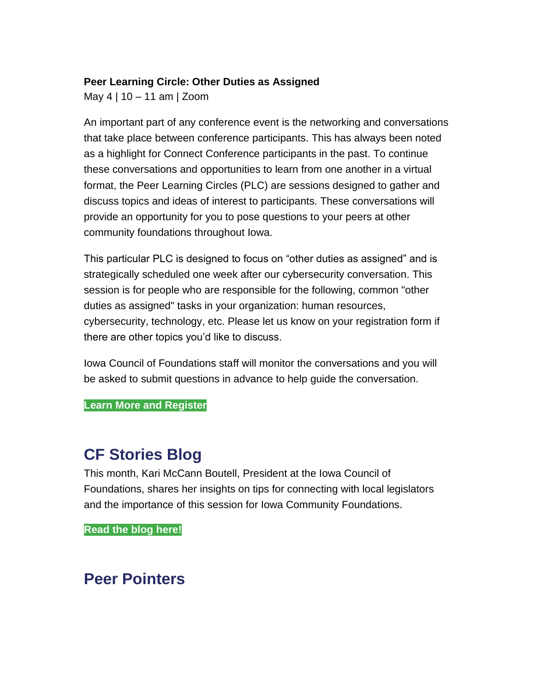### **Peer Learning Circle: Other Duties as Assigned**

May 4 | 10 – 11 am | Zoom

An important part of any conference event is the networking and conversations that take place between conference participants. This has always been noted as a highlight for Connect Conference participants in the past. To continue these conversations and opportunities to learn from one another in a virtual format, the Peer Learning Circles (PLC) are sessions designed to gather and discuss topics and ideas of interest to participants. These conversations will provide an opportunity for you to pose questions to your peers at other community foundations throughout Iowa.

This particular PLC is designed to focus on "other duties as assigned" and is strategically scheduled one week after our cybersecurity conversation. This session is for people who are responsible for the following, common "other duties as assigned" tasks in your organization: human resources, cybersecurity, technology, etc. Please let us know on your registration form if there are other topics you'd like to discuss.

Iowa Council of Foundations staff will monitor the conversations and you will be asked to submit questions in advance to help guide the conversation.

**[Learn More and Register](https://icof.wildapricot.org/event-4588829)**

## **CF Stories Blog**

This month, Kari McCann Boutell, President at the Iowa Council of Foundations, shares her insights on tips for connecting with local legislators and the importance of this session for Iowa Community Foundations.

**[Read the blog here!](https://iowacounciloffoundations.org/category/cfstories/)**

## **Peer Pointers**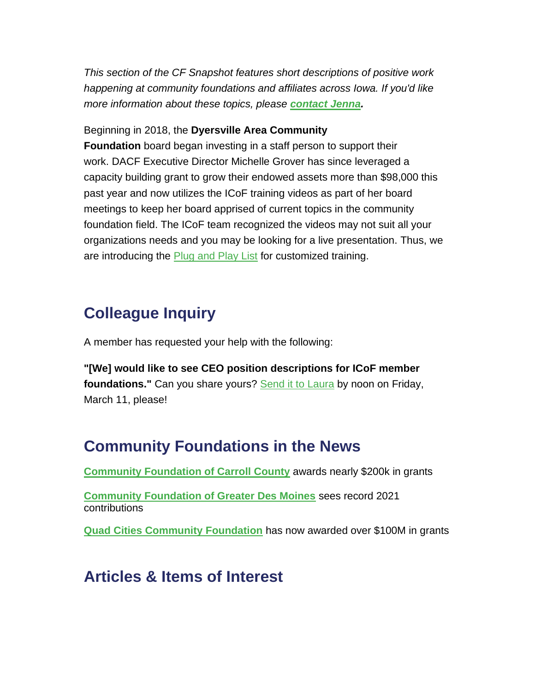*This section of the CF Snapshot features short descriptions of positive work happening at community foundations and affiliates across Iowa. If you'd like more information about these topics, please [contact Jenna.](mailto:jmanders@iowacounciloffoundations.org)*

#### Beginning in 2018, the **Dyersville Area Community**

**Foundation** board began investing in a staff person to support their work. DACF Executive Director Michelle Grover has since leveraged a capacity building grant to grow their endowed assets more than \$98,000 this past year and now utilizes the ICoF training videos as part of her board meetings to keep her board apprised of current topics in the community foundation field. The ICoF team recognized the videos may not suit all your organizations needs and you may be looking for a live presentation. Thus, we are introducing the **[Plug and Play List](https://iowacounciloffoundations.org/wp-content/uploads/2022/03/Plug-Play-List.pdf) for customized training**.

# **Colleague Inquiry**

A member has requested your help with the following:

**"[We] would like to see CEO position descriptions for ICoF member foundations."** Can you share yours? [Send it to Laura](mailto:lberardi@iowacounciloffoundations.org) by noon on Friday, March 11, please!

## **Community Foundations in the News**

**[Community Foundation of Carroll County](https://www.1380kcim.com/2022/02/23/community-foundation-of-carroll-county-awards-nearly-200000-in-2022-grants/)** awards nearly \$200k in grants

**[Community Foundation of Greater Des Moines](https://businessrecord.com/Content/Culture/Culture/Article/Community-Foundation-sets-record-for-contributions-for-charitable-giving-in-2021/170/832/96771)** sees record 2021 contributions

**[Quad Cities Community Foundation](https://www.ourquadcities.com/news/local-news/quad-cities-community-foundation-passes-100-million-in-grants/)** has now awarded over \$100M in grants

## **Articles & Items of Interest**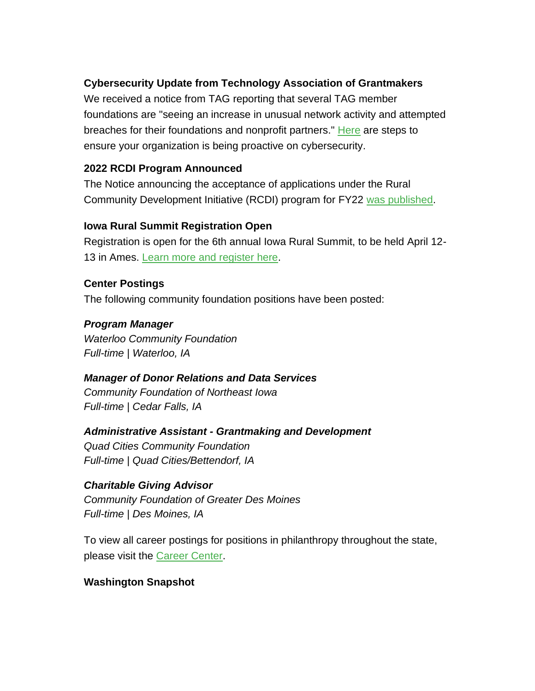### **Cybersecurity Update from Technology Association of Grantmakers**

We received a notice from TAG reporting that several TAG member foundations are "seeing an increase in unusual network activity and attempted breaches for their foundations and nonprofit partners." [Here](https://icof.wildapricot.org/resources/Cyber.pdf) are steps to ensure your organization is being proactive on cybersecurity.

### **2022 RCDI Program Announced**

The Notice announcing the acceptance of applications under the Rural Community Development Initiative (RCDI) program for FY22 [was published.](https://gcc02.safelinks.protection.outlook.com/?url=https%3A%2F%2Fwww.govinfo.gov%2Fcontent%2Fpkg%2FFR-2022-02-08%2Fpdf%2F2022-02624.pdf&data=04%7C01%7C%7C25b785203bee463d136208d9f0db167e%7Ced5b36e701ee4ebc867ee03cfa0d4697%7C0%7C0%7C637805646025082921%7CUnknown%7CTWFpbGZsb3d8eyJWIjoiMC4wLjAwMDAiLCJQIjoiV2luMzIiLCJBTiI6Ik1haWwiLCJXVCI6Mn0%3D%7C3000&sdata=8KWdoWmTymjV4zzE6zXRvm%2FcSXUv4oAgSkPCnBDrthc%3D&reserved=0)

### **Iowa Rural Summit Registration Open**

Registration is open for the 6th annual Iowa Rural Summit, to be held April 12- 13 in Ames. [Learn more and register here.](http://www.iowardc.org/summit)

**Center Postings** The following community foundation positions have been posted:

## *Program Manager*

*Waterloo Community Foundation Full-time | Waterloo, IA*

## *Manager of Donor Relations and Data Services*

*Community Foundation of Northeast Iowa Full-time | Cedar Falls, IA*

*Administrative Assistant - Grantmaking and Development*

*Quad Cities Community Foundation Full-time | Quad Cities/Bettendorf, IA*

### *Charitable Giving Advisor*

*Community Foundation of Greater Des Moines Full-time | Des Moines, IA*

To view all career postings for positions in philanthropy throughout the state, please visit the [Career Center.](http://iowacounciloffoundations.org/career-center/)

### **Washington Snapshot**